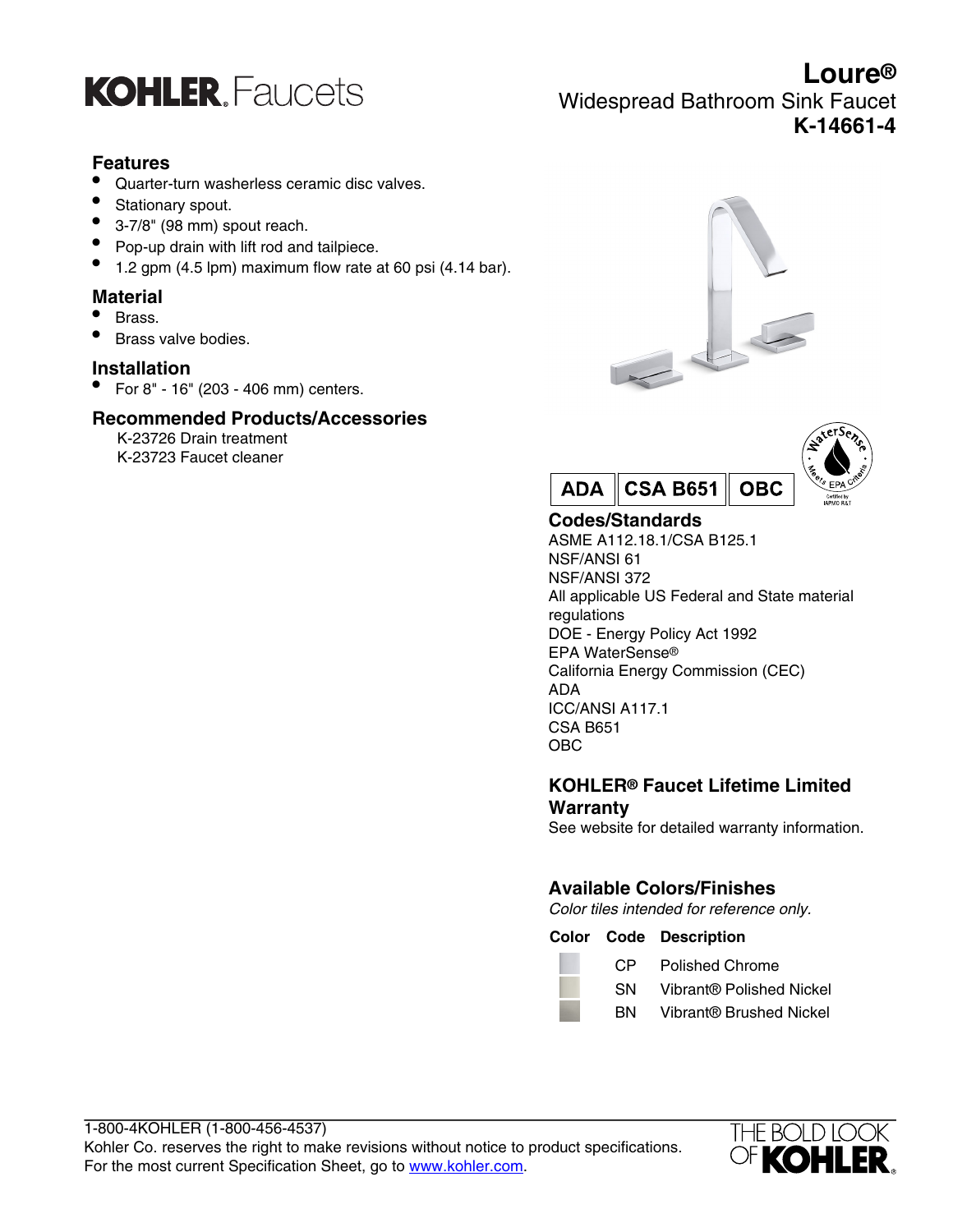

# **Features**

- Quarter-turn washerless ceramic disc valves.
- Stationary spout.
- 3-7/8" (98 mm) spout reach.
- Pop-up drain with lift rod and tailpiece.
- 1.2 gpm (4.5 lpm) maximum flow rate at 60 psi (4.14 bar).

# **Material**

- Brass.
- Brass valve bodies.

## **Installation**

• For 8" - 16" (203 - 406 mm) centers.

# **Recommended Products/Accessories**

K-23726 Drain treatment K-23723 Faucet cleaner





# **Codes/Standards**

ASME A112.18.1/CSA B125.1 NSF/ANSI 61 NSF/ANSI 372 All applicable US Federal and State material regulations DOE - Energy Policy Act 1992 EPA WaterSense® California Energy Commission (CEC) ADA ICC/ANSI A117.1 CSA B651 OBC

# **KOHLER® Faucet Lifetime Limited Warranty**

See website for detailed warranty information.

# **Available Colors/Finishes**

Color tiles intended for reference only.

#### **Color Code Description**

| CP | <b>Polished Chrome</b> |
|----|------------------------|
|    |                        |

- SN Vibrant® Polished Nickel
	- BN Vibrant® Brushed Nickel



# **Loure®** Widespread Bathroom Sink Faucet **K-14661-4**